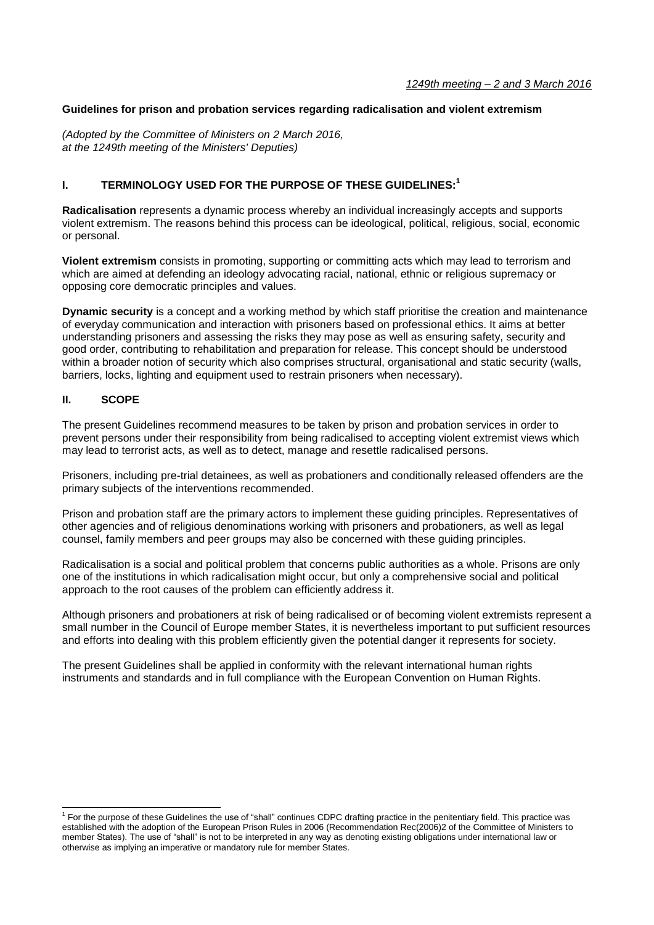#### **Guidelines for prison and probation services regarding radicalisation and violent extremism**

*(Adopted by the Committee of Ministers on 2 March 2016, at the 1249th meeting of the Ministers' Deputies)*

# **I. TERMINOLOGY USED FOR THE PURPOSE OF THESE GUIDELINES: 1**

**Radicalisation** represents a dynamic process whereby an individual increasingly accepts and supports violent extremism. The reasons behind this process can be ideological, political, religious, social, economic or personal.

**Violent extremism** consists in promoting, supporting or committing acts which may lead to terrorism and which are aimed at defending an ideology advocating racial, national, ethnic or religious supremacy or opposing core democratic principles and values.

**Dynamic security** is a concept and a working method by which staff prioritise the creation and maintenance of everyday communication and interaction with prisoners based on professional ethics. It aims at better understanding prisoners and assessing the risks they may pose as well as ensuring safety, security and good order, contributing to rehabilitation and preparation for release. This concept should be understood within a broader notion of security which also comprises structural, organisational and static security (walls, barriers, locks, lighting and equipment used to restrain prisoners when necessary).

#### **II. SCOPE**

-

The present Guidelines recommend measures to be taken by prison and probation services in order to prevent persons under their responsibility from being radicalised to accepting violent extremist views which may lead to terrorist acts, as well as to detect, manage and resettle radicalised persons.

Prisoners, including pre-trial detainees, as well as probationers and conditionally released offenders are the primary subjects of the interventions recommended.

Prison and probation staff are the primary actors to implement these guiding principles. Representatives of other agencies and of religious denominations working with prisoners and probationers, as well as legal counsel, family members and peer groups may also be concerned with these guiding principles.

Radicalisation is a social and political problem that concerns public authorities as a whole. Prisons are only one of the institutions in which radicalisation might occur, but only a comprehensive social and political approach to the root causes of the problem can efficiently address it.

Although prisoners and probationers at risk of being radicalised or of becoming violent extremists represent a small number in the Council of Europe member States, it is nevertheless important to put sufficient resources and efforts into dealing with this problem efficiently given the potential danger it represents for society.

The present Guidelines shall be applied in conformity with the relevant international human rights instruments and standards and in full compliance with the European Convention on Human Rights.

<sup>&</sup>lt;sup>1</sup> For the purpose of these Guidelines the use of "shall" continues CDPC drafting practice in the penitentiary field. This practice was established with the adoption of the European Prison Rules in 2006 (Recommendation Rec(2006)2 of the Committee of Ministers to member States). The use of "shall" is not to be interpreted in any way as denoting existing obligations under international law or otherwise as implying an imperative or mandatory rule for member States.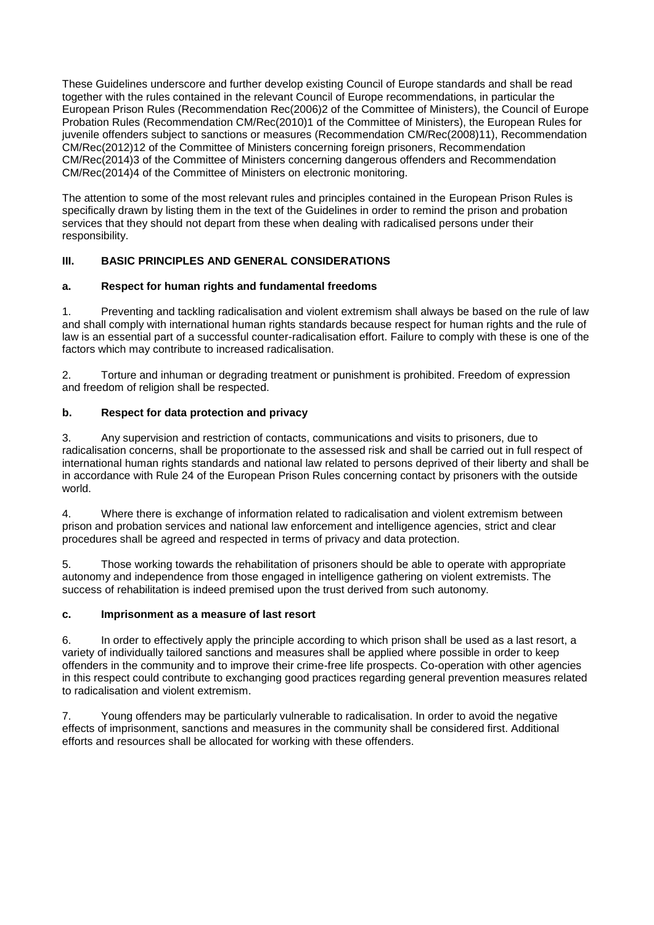These Guidelines underscore and further develop existing Council of Europe standards and shall be read together with the rules contained in the relevant Council of Europe recommendations, in particular the European Prison Rules (Recommendation Rec(2006)2 of the Committee of Ministers), the Council of Europe Probation Rules (Recommendation CM/Rec(2010)1 of the Committee of Ministers), the European Rules for juvenile offenders subject to sanctions or measures (Recommendation CM/Rec(2008)11), Recommendation CM/Rec(2012)12 of the Committee of Ministers concerning foreign prisoners, Recommendation CM/Rec(2014)3 of the Committee of Ministers concerning dangerous offenders and Recommendation CM/Rec(2014)4 of the Committee of Ministers on electronic monitoring.

The attention to some of the most relevant rules and principles contained in the European Prison Rules is specifically drawn by listing them in the text of the Guidelines in order to remind the prison and probation services that they should not depart from these when dealing with radicalised persons under their responsibility.

# **III. BASIC PRINCIPLES AND GENERAL CONSIDERATIONS**

# **a. Respect for human rights and fundamental freedoms**

1. Preventing and tackling radicalisation and violent extremism shall always be based on the rule of law and shall comply with international human rights standards because respect for human rights and the rule of law is an essential part of a successful counter-radicalisation effort. Failure to comply with these is one of the factors which may contribute to increased radicalisation.

2. Torture and inhuman or degrading treatment or punishment is prohibited. Freedom of expression and freedom of religion shall be respected.

# **b. Respect for data protection and privacy**

3. Any supervision and restriction of contacts, communications and visits to prisoners, due to radicalisation concerns, shall be proportionate to the assessed risk and shall be carried out in full respect of international human rights standards and national law related to persons deprived of their liberty and shall be in accordance with Rule 24 of the European Prison Rules concerning contact by prisoners with the outside world.

4. Where there is exchange of information related to radicalisation and violent extremism between prison and probation services and national law enforcement and intelligence agencies, strict and clear procedures shall be agreed and respected in terms of privacy and data protection.

5. Those working towards the rehabilitation of prisoners should be able to operate with appropriate autonomy and independence from those engaged in intelligence gathering on violent extremists. The success of rehabilitation is indeed premised upon the trust derived from such autonomy.

#### **c. Imprisonment as a measure of last resort**

6. In order to effectively apply the principle according to which prison shall be used as a last resort, a variety of individually tailored sanctions and measures shall be applied where possible in order to keep offenders in the community and to improve their crime-free life prospects. Co-operation with other agencies in this respect could contribute to exchanging good practices regarding general prevention measures related to radicalisation and violent extremism.

7. Young offenders may be particularly vulnerable to radicalisation. In order to avoid the negative effects of imprisonment, sanctions and measures in the community shall be considered first. Additional efforts and resources shall be allocated for working with these offenders.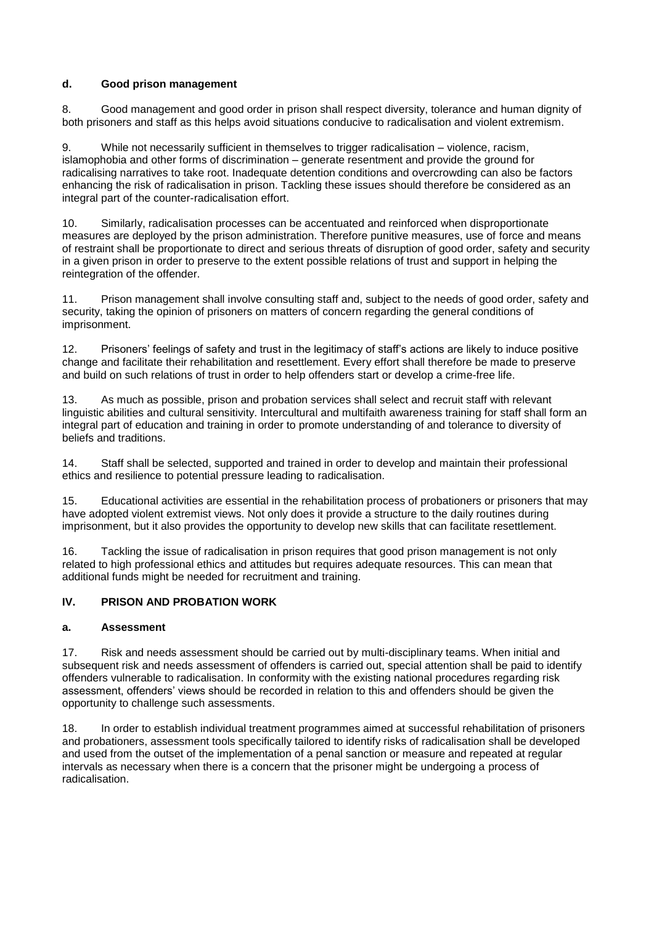## **d. Good prison management**

8. Good management and good order in prison shall respect diversity, tolerance and human dignity of both prisoners and staff as this helps avoid situations conducive to radicalisation and violent extremism.

While not necessarily sufficient in themselves to trigger radicalisation – violence, racism, islamophobia and other forms of discrimination – generate resentment and provide the ground for radicalising narratives to take root. Inadequate detention conditions and overcrowding can also be factors enhancing the risk of radicalisation in prison. Tackling these issues should therefore be considered as an integral part of the counter-radicalisation effort.

10. Similarly, radicalisation processes can be accentuated and reinforced when disproportionate measures are deployed by the prison administration. Therefore punitive measures, use of force and means of restraint shall be proportionate to direct and serious threats of disruption of good order, safety and security in a given prison in order to preserve to the extent possible relations of trust and support in helping the reintegration of the offender.

11. Prison management shall involve consulting staff and, subject to the needs of good order, safety and security, taking the opinion of prisoners on matters of concern regarding the general conditions of imprisonment.

12. Prisoners' feelings of safety and trust in the legitimacy of staff's actions are likely to induce positive change and facilitate their rehabilitation and resettlement. Every effort shall therefore be made to preserve and build on such relations of trust in order to help offenders start or develop a crime-free life.

13. As much as possible, prison and probation services shall select and recruit staff with relevant linguistic abilities and cultural sensitivity. Intercultural and multifaith awareness training for staff shall form an integral part of education and training in order to promote understanding of and tolerance to diversity of beliefs and traditions.

14. Staff shall be selected, supported and trained in order to develop and maintain their professional ethics and resilience to potential pressure leading to radicalisation.

15. Educational activities are essential in the rehabilitation process of probationers or prisoners that may have adopted violent extremist views. Not only does it provide a structure to the daily routines during imprisonment, but it also provides the opportunity to develop new skills that can facilitate resettlement.

16. Tackling the issue of radicalisation in prison requires that good prison management is not only related to high professional ethics and attitudes but requires adequate resources. This can mean that additional funds might be needed for recruitment and training.

## **IV. PRISON AND PROBATION WORK**

#### **a. Assessment**

17. Risk and needs assessment should be carried out by multi-disciplinary teams. When initial and subsequent risk and needs assessment of offenders is carried out, special attention shall be paid to identify offenders vulnerable to radicalisation. In conformity with the existing national procedures regarding risk assessment, offenders' views should be recorded in relation to this and offenders should be given the opportunity to challenge such assessments.

18. In order to establish individual treatment programmes aimed at successful rehabilitation of prisoners and probationers, assessment tools specifically tailored to identify risks of radicalisation shall be developed and used from the outset of the implementation of a penal sanction or measure and repeated at regular intervals as necessary when there is a concern that the prisoner might be undergoing a process of radicalisation.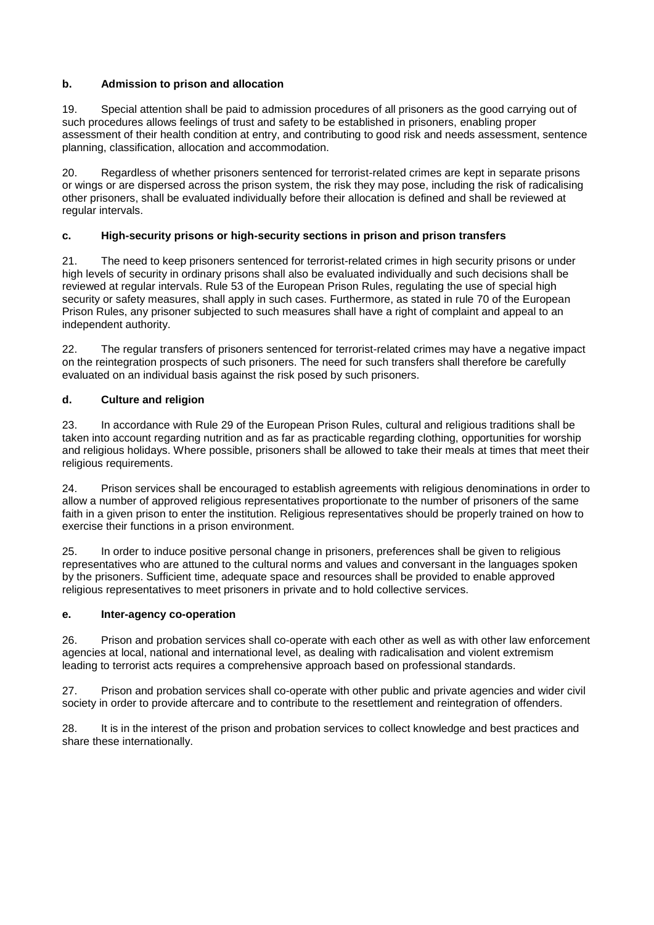## **b. Admission to prison and allocation**

19. Special attention shall be paid to admission procedures of all prisoners as the good carrying out of such procedures allows feelings of trust and safety to be established in prisoners, enabling proper assessment of their health condition at entry, and contributing to good risk and needs assessment, sentence planning, classification, allocation and accommodation.

20. Regardless of whether prisoners sentenced for terrorist-related crimes are kept in separate prisons or wings or are dispersed across the prison system, the risk they may pose, including the risk of radicalising other prisoners, shall be evaluated individually before their allocation is defined and shall be reviewed at regular intervals.

# **c. High-security prisons or high-security sections in prison and prison transfers**

21. The need to keep prisoners sentenced for terrorist-related crimes in high security prisons or under high levels of security in ordinary prisons shall also be evaluated individually and such decisions shall be reviewed at regular intervals. Rule 53 of the European Prison Rules, regulating the use of special high security or safety measures, shall apply in such cases. Furthermore, as stated in rule 70 of the European Prison Rules, any prisoner subjected to such measures shall have a right of complaint and appeal to an independent authority.

22. The regular transfers of prisoners sentenced for terrorist-related crimes may have a negative impact on the reintegration prospects of such prisoners. The need for such transfers shall therefore be carefully evaluated on an individual basis against the risk posed by such prisoners.

# **d. Culture and religion**

23. In accordance with Rule 29 of the European Prison Rules, cultural and religious traditions shall be taken into account regarding nutrition and as far as practicable regarding clothing, opportunities for worship and religious holidays. Where possible, prisoners shall be allowed to take their meals at times that meet their religious requirements.

24. Prison services shall be encouraged to establish agreements with religious denominations in order to allow a number of approved religious representatives proportionate to the number of prisoners of the same faith in a given prison to enter the institution. Religious representatives should be properly trained on how to exercise their functions in a prison environment.

25. In order to induce positive personal change in prisoners, preferences shall be given to religious representatives who are attuned to the cultural norms and values and conversant in the languages spoken by the prisoners. Sufficient time, adequate space and resources shall be provided to enable approved religious representatives to meet prisoners in private and to hold collective services.

#### **e. Inter-agency co-operation**

26. Prison and probation services shall co-operate with each other as well as with other law enforcement agencies at local, national and international level, as dealing with radicalisation and violent extremism leading to terrorist acts requires a comprehensive approach based on professional standards.

27. Prison and probation services shall co-operate with other public and private agencies and wider civil society in order to provide aftercare and to contribute to the resettlement and reintegration of offenders.

28. It is in the interest of the prison and probation services to collect knowledge and best practices and share these internationally.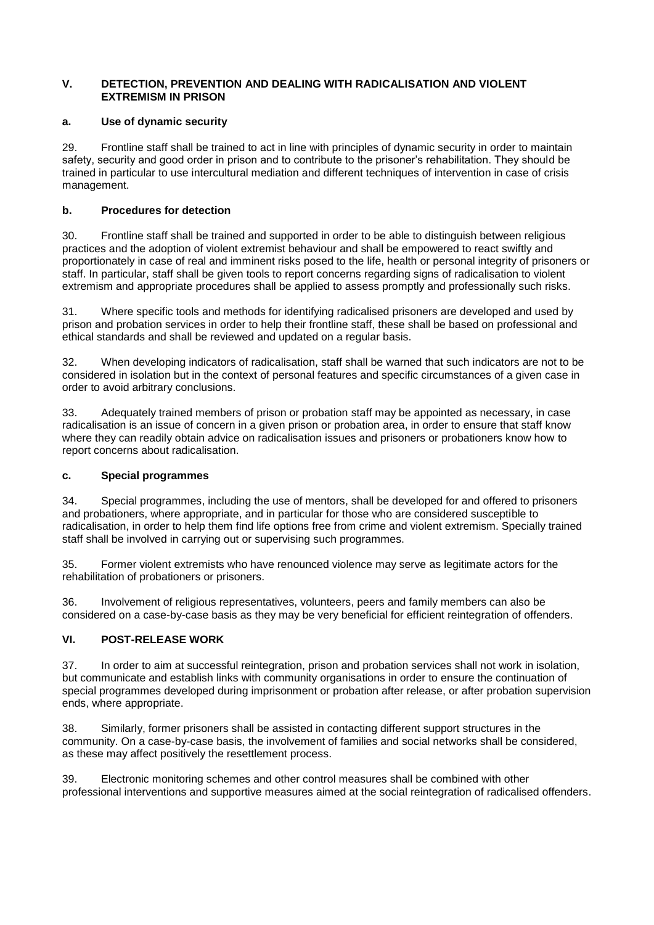#### **V. DETECTION, PREVENTION AND DEALING WITH RADICALISATION AND VIOLENT EXTREMISM IN PRISON**

## **a. Use of dynamic security**

29. Frontline staff shall be trained to act in line with principles of dynamic security in order to maintain safety, security and good order in prison and to contribute to the prisoner's rehabilitation. They should be trained in particular to use intercultural mediation and different techniques of intervention in case of crisis management.

# **b. Procedures for detection**

30. Frontline staff shall be trained and supported in order to be able to distinguish between religious practices and the adoption of violent extremist behaviour and shall be empowered to react swiftly and proportionately in case of real and imminent risks posed to the life, health or personal integrity of prisoners or staff. In particular, staff shall be given tools to report concerns regarding signs of radicalisation to violent extremism and appropriate procedures shall be applied to assess promptly and professionally such risks.

31. Where specific tools and methods for identifying radicalised prisoners are developed and used by prison and probation services in order to help their frontline staff, these shall be based on professional and ethical standards and shall be reviewed and updated on a regular basis.

32. When developing indicators of radicalisation, staff shall be warned that such indicators are not to be considered in isolation but in the context of personal features and specific circumstances of a given case in order to avoid arbitrary conclusions.

33. Adequately trained members of prison or probation staff may be appointed as necessary, in case radicalisation is an issue of concern in a given prison or probation area, in order to ensure that staff know where they can readily obtain advice on radicalisation issues and prisoners or probationers know how to report concerns about radicalisation.

# **c. Special programmes**

34. Special programmes, including the use of mentors, shall be developed for and offered to prisoners and probationers, where appropriate, and in particular for those who are considered susceptible to radicalisation, in order to help them find life options free from crime and violent extremism. Specially trained staff shall be involved in carrying out or supervising such programmes.

35. Former violent extremists who have renounced violence may serve as legitimate actors for the rehabilitation of probationers or prisoners.

36. Involvement of religious representatives, volunteers, peers and family members can also be considered on a case-by-case basis as they may be very beneficial for efficient reintegration of offenders.

# **VI. POST-RELEASE WORK**

37. In order to aim at successful reintegration, prison and probation services shall not work in isolation, but communicate and establish links with community organisations in order to ensure the continuation of special programmes developed during imprisonment or probation after release, or after probation supervision ends, where appropriate.

38. Similarly, former prisoners shall be assisted in contacting different support structures in the community. On a case-by-case basis, the involvement of families and social networks shall be considered, as these may affect positively the resettlement process.

39. Electronic monitoring schemes and other control measures shall be combined with other professional interventions and supportive measures aimed at the social reintegration of radicalised offenders.